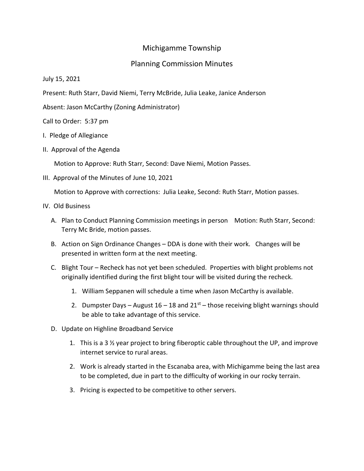## Michigamme Township

## Planning Commission Minutes

July 15, 2021

Present: Ruth Starr, David Niemi, Terry McBride, Julia Leake, Janice Anderson

Absent: Jason McCarthy (Zoning Administrator)

Call to Order: 5:37 pm

- I. Pledge of Allegiance
- II. Approval of the Agenda

Motion to Approve: Ruth Starr, Second: Dave Niemi, Motion Passes.

III. Approval of the Minutes of June 10, 2021

Motion to Approve with corrections: Julia Leake, Second: Ruth Starr, Motion passes.

- IV. Old Business
	- A. Plan to Conduct Planning Commission meetings in person Motion: Ruth Starr, Second: Terry Mc Bride, motion passes.
	- B. Action on Sign Ordinance Changes DDA is done with their work. Changes will be presented in written form at the next meeting.
	- C. Blight Tour Recheck has not yet been scheduled. Properties with blight problems not originally identified during the first blight tour will be visited during the recheck.
		- 1. William Seppanen will schedule a time when Jason McCarthy is available.
		- 2. Dumpster Days August  $16 18$  and  $21<sup>st</sup>$  those receiving blight warnings should be able to take advantage of this service.
	- D. Update on Highline Broadband Service
		- 1. This is a 3 ½ year project to bring fiberoptic cable throughout the UP, and improve internet service to rural areas.
		- 2. Work is already started in the Escanaba area, with Michigamme being the last area to be completed, due in part to the difficulty of working in our rocky terrain.
		- 3. Pricing is expected to be competitive to other servers.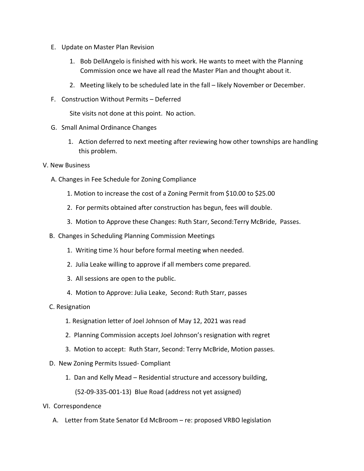- E. Update on Master Plan Revision
	- 1. Bob DellAngelo is finished with his work. He wants to meet with the Planning Commission once we have all read the Master Plan and thought about it.
	- 2. Meeting likely to be scheduled late in the fall likely November or December.
- F. Construction Without Permits Deferred

Site visits not done at this point. No action.

- G. Small Animal Ordinance Changes
	- 1. Action deferred to next meeting after reviewing how other townships are handling this problem.
- V. New Business
	- A. Changes in Fee Schedule for Zoning Compliance
		- 1. Motion to increase the cost of a Zoning Permit from \$10.00 to \$25.00
		- 2. For permits obtained after construction has begun, fees will double.
		- 3. Motion to Approve these Changes: Ruth Starr, Second:Terry McBride, Passes.
	- B. Changes in Scheduling Planning Commission Meetings
		- 1. Writing time ½ hour before formal meeting when needed.
		- 2. Julia Leake willing to approve if all members come prepared.
		- 3. All sessions are open to the public.
		- 4. Motion to Approve: Julia Leake, Second: Ruth Starr, passes

## C. Resignation

- 1. Resignation letter of Joel Johnson of May 12, 2021 was read
- 2. Planning Commission accepts Joel Johnson's resignation with regret
- 3. Motion to accept: Ruth Starr, Second: Terry McBride, Motion passes.
- D. New Zoning Permits Issued- Compliant
	- 1. Dan and Kelly Mead Residential structure and accessory building,

(52-09-335-001-13) Blue Road (address not yet assigned)

## VI. Correspondence

A. Letter from State Senator Ed McBroom – re: proposed VRBO legislation